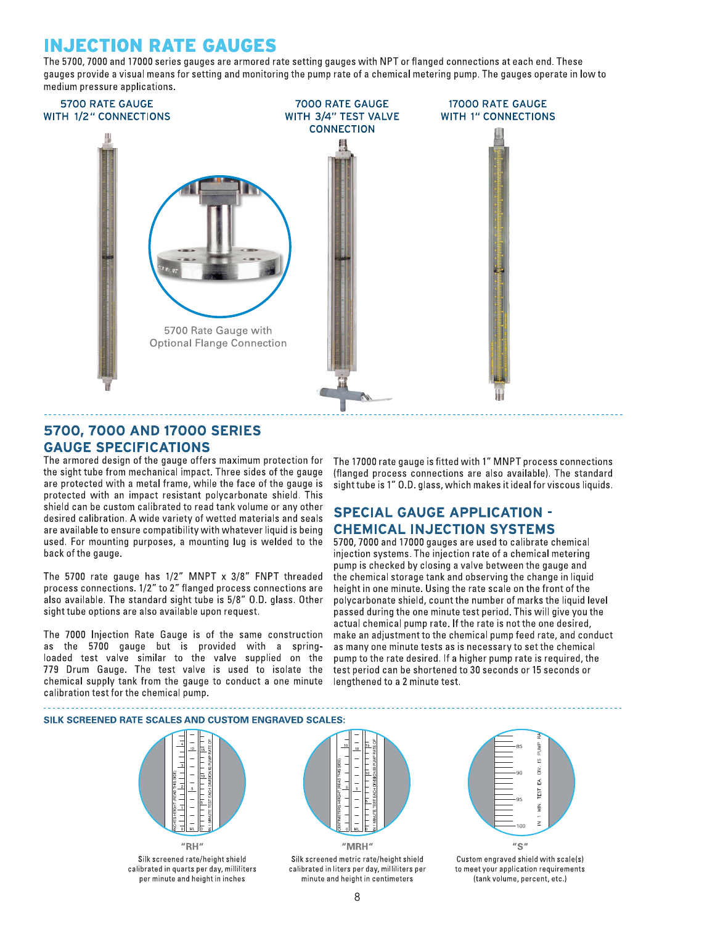# **INJECTION RATE GAUGES**

The 5700, 7000 and 17000 series gauges are armored rate setting gauges with NPT or flanged connections at each end. These gauges provide a visual means for setting and monitoring the pump rate of a chemical metering pump. The gauges operate in low to medium pressure applications.



# 5700, 7000 AND 17000 SERIES **GAUGE SPECIFICATIONS**

The armored design of the gauge offers maximum protection for the sight tube from mechanical impact. Three sides of the gauge are protected with a metal frame, while the face of the gauge is protected with an impact resistant polycarbonate shield. This shield can be custom calibrated to read tank volume or any other desired calibration. A wide variety of wetted materials and seals are available to ensure compatibility with whatever liquid is being used. For mounting purposes, a mounting lug is welded to the back of the gauge.

The 5700 rate gauge has 1/2" MNPT x 3/8" FNPT threaded process connections. 1/2" to 2" flanged process connections are also available. The standard sight tube is 5/8" O.D. glass. Other sight tube options are also available upon request.

The 7000 Injection Rate Gauge is of the same construction as the 5700 gauge but is provided with a springloaded test valve similar to the valve supplied on the 779 Drum Gauge. The test valve is used to isolate the chemical supply tank from the gauge to conduct a one minute calibration test for the chemical pump.

The 17000 rate gauge is fitted with 1" MNPT process connections (flanged process connections are also available). The standard sight tube is 1" O.D. glass, which makes it ideal for viscous liquids.

# **SPECIAL GAUGE APPLICATION -CHEMICAL INJECTION SYSTEMS**

5700, 7000 and 17000 gauges are used to calibrate chemical injection systems. The injection rate of a chemical metering pump is checked by closing a valve between the gauge and the chemical storage tank and observing the change in liquid height in one minute. Using the rate scale on the front of the polycarbonate shield, count the number of marks the liquid level passed during the one minute test period. This will give you the actual chemical pump rate. If the rate is not the one desired, make an adjustment to the chemical pump feed rate, and conduct as many one minute tests as is necessary to set the chemical pump to the rate desired. If a higher pump rate is required, the test period can be shortened to 30 seconds or 15 seconds or lengthened to a 2 minute test.



Custom engraved shield with scale(s) to meet your application requirements (tank volume, percent, etc.)

Silk screened rate/height shield calibrated in quarts per day, milliliters per minute and height in inches

calibrated in liters per day, milliliters per minute and height in centimeters

8